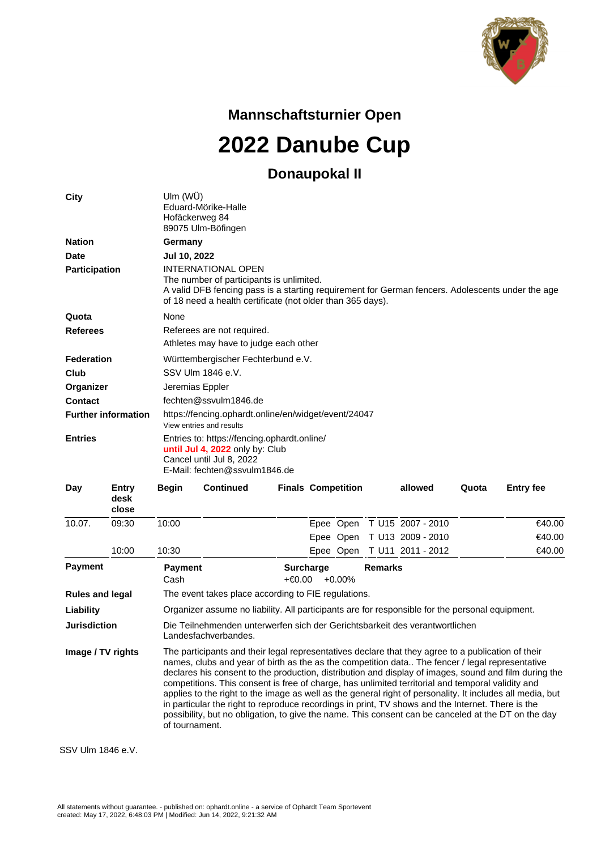

**Mannschaftsturnier Open**

**2022 Danube Cup**

## **Donaupokal II**

| <b>City</b>                |                        | Ulm (WÜ)<br>Eduard-Mörike-Halle<br>Hofäckerweg 84<br>89075 Ulm-Böfingen                                                                                                                                                                                                                                                                                                                                                                                                                                                                                                                                                                                                                                                                                        |                       |                           |                  |           |                |                   |       |                  |
|----------------------------|------------------------|----------------------------------------------------------------------------------------------------------------------------------------------------------------------------------------------------------------------------------------------------------------------------------------------------------------------------------------------------------------------------------------------------------------------------------------------------------------------------------------------------------------------------------------------------------------------------------------------------------------------------------------------------------------------------------------------------------------------------------------------------------------|-----------------------|---------------------------|------------------|-----------|----------------|-------------------|-------|------------------|
| <b>Nation</b>              |                        | Germany                                                                                                                                                                                                                                                                                                                                                                                                                                                                                                                                                                                                                                                                                                                                                        |                       |                           |                  |           |                |                   |       |                  |
| <b>Date</b>                |                        | Jul 10, 2022                                                                                                                                                                                                                                                                                                                                                                                                                                                                                                                                                                                                                                                                                                                                                   |                       |                           |                  |           |                |                   |       |                  |
| <b>Participation</b>       |                        | <b>INTERNATIONAL OPEN</b><br>The number of participants is unlimited.<br>A valid DFB fencing pass is a starting requirement for German fencers. Adolescents under the age<br>of 18 need a health certificate (not older than 365 days).                                                                                                                                                                                                                                                                                                                                                                                                                                                                                                                        |                       |                           |                  |           |                |                   |       |                  |
| Quota                      |                        | <b>None</b>                                                                                                                                                                                                                                                                                                                                                                                                                                                                                                                                                                                                                                                                                                                                                    |                       |                           |                  |           |                |                   |       |                  |
| <b>Referees</b>            |                        | Referees are not required.<br>Athletes may have to judge each other                                                                                                                                                                                                                                                                                                                                                                                                                                                                                                                                                                                                                                                                                            |                       |                           |                  |           |                |                   |       |                  |
| <b>Federation</b>          |                        | Württembergischer Fechterbund e.V.                                                                                                                                                                                                                                                                                                                                                                                                                                                                                                                                                                                                                                                                                                                             |                       |                           |                  |           |                |                   |       |                  |
| Club                       |                        | SSV Ulm 1846 e.V.                                                                                                                                                                                                                                                                                                                                                                                                                                                                                                                                                                                                                                                                                                                                              |                       |                           |                  |           |                |                   |       |                  |
| Organizer                  |                        | Jeremias Eppler                                                                                                                                                                                                                                                                                                                                                                                                                                                                                                                                                                                                                                                                                                                                                |                       |                           |                  |           |                |                   |       |                  |
| <b>Contact</b>             |                        |                                                                                                                                                                                                                                                                                                                                                                                                                                                                                                                                                                                                                                                                                                                                                                | fechten@ssvulm1846.de |                           |                  |           |                |                   |       |                  |
| <b>Further information</b> |                        | https://fencing.ophardt.online/en/widget/event/24047<br>View entries and results                                                                                                                                                                                                                                                                                                                                                                                                                                                                                                                                                                                                                                                                               |                       |                           |                  |           |                |                   |       |                  |
| <b>Entries</b>             |                        | Entries to: https://fencing.ophardt.online/<br>until Jul 4, 2022 only by: Club<br>Cancel until Jul 8, 2022<br>E-Mail: fechten@ssvulm1846.de                                                                                                                                                                                                                                                                                                                                                                                                                                                                                                                                                                                                                    |                       |                           |                  |           |                |                   |       |                  |
| Day                        | Entry<br>desk<br>close | Begin                                                                                                                                                                                                                                                                                                                                                                                                                                                                                                                                                                                                                                                                                                                                                          | <b>Continued</b>      | <b>Finals Competition</b> |                  |           |                | allowed           | Quota | <b>Entry fee</b> |
| 10.07.                     | 09:30                  | 10:00                                                                                                                                                                                                                                                                                                                                                                                                                                                                                                                                                                                                                                                                                                                                                          |                       |                           |                  | Epee Open |                | T U15 2007 - 2010 |       | €40.00           |
|                            |                        |                                                                                                                                                                                                                                                                                                                                                                                                                                                                                                                                                                                                                                                                                                                                                                |                       |                           |                  | Epee Open |                | T U13 2009 - 2010 |       | €40.00           |
|                            | 10:00                  | 10:30                                                                                                                                                                                                                                                                                                                                                                                                                                                                                                                                                                                                                                                                                                                                                          |                       |                           |                  | Epee Open |                | T U11 2011 - 2012 |       | €40.00           |
| <b>Payment</b>             |                        | <b>Payment</b><br>Cash                                                                                                                                                                                                                                                                                                                                                                                                                                                                                                                                                                                                                                                                                                                                         |                       | $+€0.00$                  | <b>Surcharge</b> | $+0.00\%$ | <b>Remarks</b> |                   |       |                  |
| <b>Rules and legal</b>     |                        | The event takes place according to FIE regulations.                                                                                                                                                                                                                                                                                                                                                                                                                                                                                                                                                                                                                                                                                                            |                       |                           |                  |           |                |                   |       |                  |
| Liability                  |                        | Organizer assume no liability. All participants are for responsible for the personal equipment.                                                                                                                                                                                                                                                                                                                                                                                                                                                                                                                                                                                                                                                                |                       |                           |                  |           |                |                   |       |                  |
| <b>Jurisdiction</b>        |                        | Die Teilnehmenden unterwerfen sich der Gerichtsbarkeit des verantwortlichen<br>Landesfachverbandes.                                                                                                                                                                                                                                                                                                                                                                                                                                                                                                                                                                                                                                                            |                       |                           |                  |           |                |                   |       |                  |
| Image / TV rights          |                        | The participants and their legal representatives declare that they agree to a publication of their<br>names, clubs and year of birth as the as the competition data The fencer / legal representative<br>declares his consent to the production, distribution and display of images, sound and film during the<br>competitions. This consent is free of charge, has unlimited territorial and temporal validity and<br>applies to the right to the image as well as the general right of personality. It includes all media, but<br>in particular the right to reproduce recordings in print, TV shows and the Internet. There is the<br>possibility, but no obligation, to give the name. This consent can be canceled at the DT on the day<br>of tournament. |                       |                           |                  |           |                |                   |       |                  |

SSV Ulm 1846 e.V.